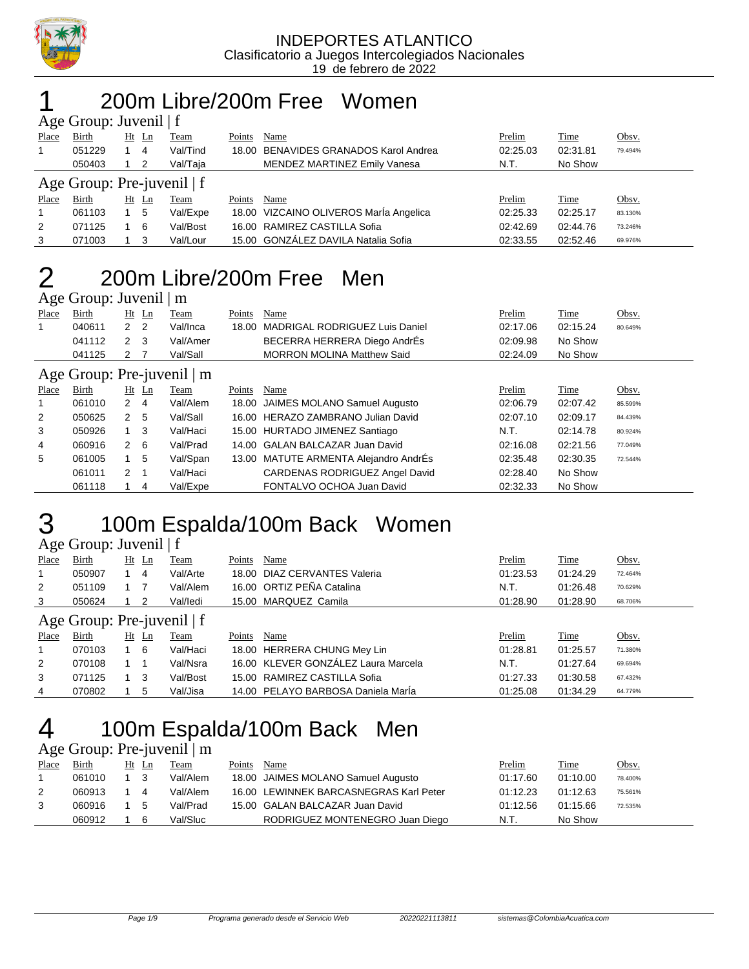

### 200m Libre/200m Free Women Age Group: Invenil | f

|                            | $\Delta \ge 0$ Oroup. Juvenil   1 |  |       |             |        |                                        |          |          |         |  |  |
|----------------------------|-----------------------------------|--|-------|-------------|--------|----------------------------------------|----------|----------|---------|--|--|
| Place                      | Birth                             |  | Ht Ln | <b>Team</b> | Points | Name                                   | Prelim   | Time     | Obsv.   |  |  |
| $\mathbf{1}$               | 051229                            |  | 4     | Val/Tind    |        | 18.00 BENAVIDES GRANADOS Karol Andrea  | 02:25.03 | 02:31.81 | 79.494% |  |  |
|                            | 050403                            |  | 2     | Val/Taja    |        | <b>MENDEZ MARTINEZ Emily Vanesa</b>    | N.T.     | No Show  |         |  |  |
| Age Group: Pre-juvenil   f |                                   |  |       |             |        |                                        |          |          |         |  |  |
| Place                      | Birth                             |  | Ht Ln | Team        | Points | Name                                   | Prelim   | Time     | Obsv.   |  |  |
| $\mathbf{1}$               | 061103                            |  | -5    | Val/Expe    |        | 18.00 VIZCAINO OLIVEROS MarÍa Angelica | 02:25.33 | 02:25.17 | 83.130% |  |  |
| $\overline{2}$             | 071125                            |  | 6     | Val/Bost    |        | 16.00 RAMIREZ CASTILLA Sofia           | 02:42.69 | 02:44.76 | 73.246% |  |  |
| 3                          | 071003                            |  | 3     | Val/Lour    |        | 15.00 GONZÁLEZ DAVILA Natalia Sofia    | 02:33.55 | 02:52.46 | 69.976% |  |  |
|                            |                                   |  |       |             |        |                                        |          |          |         |  |  |

### 2 200m Libre/200m Free Men

|              | Age Group: Juvenil $\mid$ m |     |       |          |        |                                      |          |             |         |  |  |  |  |  |
|--------------|-----------------------------|-----|-------|----------|--------|--------------------------------------|----------|-------------|---------|--|--|--|--|--|
| <b>Place</b> | Birth                       |     | Ht Ln | Team     | Points | Name                                 | Prelim   | <b>Time</b> | Obsv.   |  |  |  |  |  |
|              | 040611                      | 22  |       | Val/Inca |        | 18.00 MADRIGAL RODRIGUEZ Luis Daniel | 02:17.06 | 02:15.24    | 80.649% |  |  |  |  |  |
|              | 041112                      | 2 3 |       | Val/Amer |        | BECERRA HERRERA Diego AndrÉs         | 02:09.98 | No Show     |         |  |  |  |  |  |
|              | 041125                      | 27  |       | Val/Sall |        | <b>MORRON MOLINA Matthew Said</b>    | 02:24.09 | No Show     |         |  |  |  |  |  |

### Age Group: Pre-juvenil | m

|                | $T_{\rm K}$ $\sim$ 010up. 1 IC-juven 1   III |         |     |             |        |                                       |          |             |         |  |  |  |
|----------------|----------------------------------------------|---------|-----|-------------|--------|---------------------------------------|----------|-------------|---------|--|--|--|
| <b>Place</b>   | <b>Birth</b>                                 | $Ht$ Ln |     | <b>Team</b> | Points | Name                                  | Prelim   | <b>Time</b> | Obsv.   |  |  |  |
| $\overline{1}$ | 061010                                       | 2 4     |     | Val/Alem    |        | 18.00 JAIMES MOLANO Samuel Augusto    | 02:06.79 | 02:07.42    | 85.599% |  |  |  |
| 2              | 050625                                       | 2       | -5  | Val/Sall    |        | 16.00 HERAZO ZAMBRANO Julian David    | 02:07.10 | 02:09.17    | 84.439% |  |  |  |
| 3              | 050926                                       |         | -3  | Val/Haci    |        | 15.00 HURTADO JIMENEZ Santiago        | N.T.     | 02:14.78    | 80.924% |  |  |  |
| 4              | 060916                                       | 2       | - 6 | Val/Prad    |        | 14.00 GALAN BALCAZAR Juan David       | 02:16.08 | 02:21.56    | 77.049% |  |  |  |
| 5              | 061005                                       |         | -5  | Val/Span    |        | 13.00 MATUTE ARMENTA Alejandro AndrÉs | 02:35.48 | 02:30.35    | 72.544% |  |  |  |
|                | 061011                                       | 2       |     | Val/Haci    |        | CARDENAS RODRIGUEZ Angel David        | 02:28.40 | No Show     |         |  |  |  |
|                | 061118                                       |         | -4  | Val/Expe    |        | FONTALVO OCHOA Juan David             | 02:32.33 | No Show     |         |  |  |  |

# 3 100m Espalda/100m Back Women

| Age Group: Juvenil   f |  |  |
|------------------------|--|--|
|------------------------|--|--|

| Place                        | Birth  | Ht | Ln      | Team     | Points | Name                                | Prelim   | Time     | Obsv.   |  |  |  |
|------------------------------|--------|----|---------|----------|--------|-------------------------------------|----------|----------|---------|--|--|--|
|                              | 050907 |    | 4       | Val/Arte |        | 18.00 DIAZ CERVANTES Valeria        | 01:23.53 | 01:24.29 | 72.464% |  |  |  |
| 2                            | 051109 |    |         | Val/Alem |        | 16.00 ORTIZ PEÑA Catalina           | N.T.     | 01:26.48 | 70.629% |  |  |  |
| 3                            | 050624 |    | 2       | Val/ledi |        | 15.00 MARQUEZ Camila                | 01:28.90 | 01:28.90 | 68.706% |  |  |  |
| Age Group: Pre-juvenil $ f $ |        |    |         |          |        |                                     |          |          |         |  |  |  |
| Place                        | Birth  |    | $Ht$ Ln | Team     | Points | Name                                | Prelim   | Time     | Obsv.   |  |  |  |
|                              | 070103 |    | - 6     | Val/Haci |        | 18.00 HERRERA CHUNG Mey Lin         | 01:28.81 | 01:25.57 | 71.380% |  |  |  |
| 2                            | 070108 |    |         | Val/Nsra |        | 16.00 KLEVER GONZÁLEZ Laura Marcela | N.T.     | 01:27.64 | 69.694% |  |  |  |
| 3                            | 071125 |    | 3       | Val/Bost |        | 15.00 RAMIREZ CASTILLA Sofia        | 01:27.33 | 01:30.58 | 67.432% |  |  |  |
| 4                            |        |    |         |          |        | 14.00 PELAYO BARBOSA Daniela MarÍa  | 01:25.08 | 01:34.29 |         |  |  |  |

# 4 100m Espalda/100m Back Men

Age Group: Pre-juvenil | m

| Place | <b>Birth</b> | Ht | Ln | Team     | Points | Name                                   | Prelim   | Time     | Obsv.   |
|-------|--------------|----|----|----------|--------|----------------------------------------|----------|----------|---------|
|       | 061010       |    |    | Val/Alem |        | 18.00 JAIMES MOLANO Samuel Augusto     | 01:17.60 | 01:10.00 | 78.400% |
|       | 060913       |    | 4  | Val/Alem |        | 16.00 LEWINNEK BARCASNEGRAS Karl Peter | 01:12.23 | 01:12.63 | 75.561% |
|       | 060916       |    | 5  | Val/Prad |        | 15.00 GALAN BALCAZAR Juan David        | 01:12.56 | 01:15.66 | 72.535% |
|       | 060912       |    | 6  | Val/Sluc |        | RODRIGUEZ MONTENEGRO Juan Diego        | N.T.     | No Show  |         |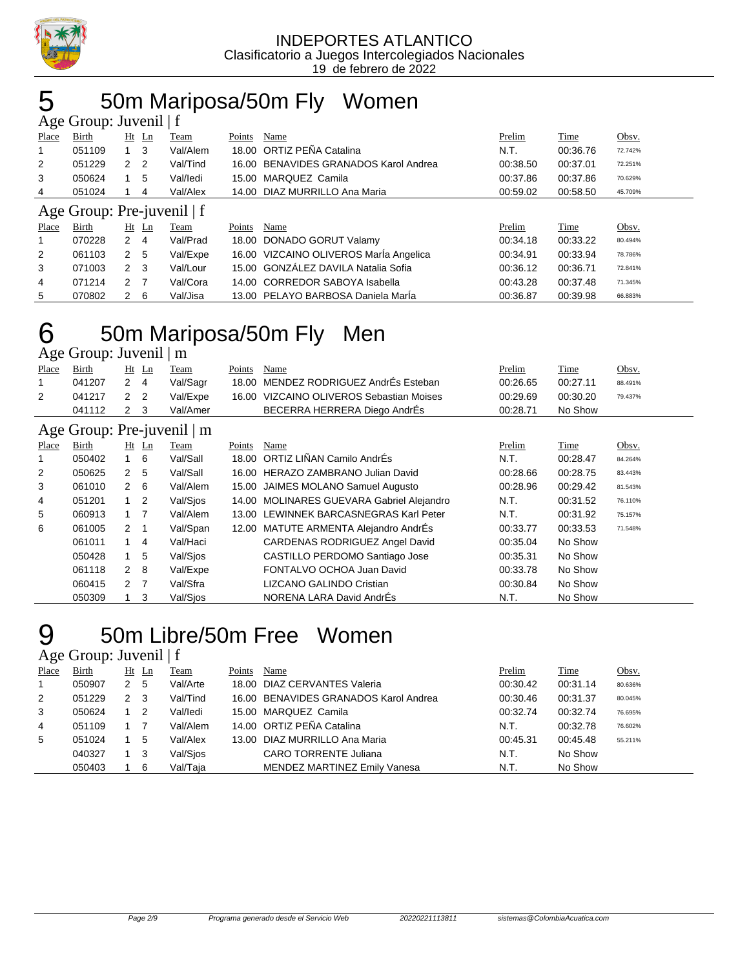

# 50m Mariposa/50m Fly Women

| Age Group: Juvenil   f |                            |                |                |          |        |                                        |          |          |         |  |  |  |
|------------------------|----------------------------|----------------|----------------|----------|--------|----------------------------------------|----------|----------|---------|--|--|--|
| Place                  | Birth                      |                | $Ht$ Ln        | Team     | Points | Name                                   | Prelim   | Time     | Obsv.   |  |  |  |
| 1                      | 051109                     | $1 \quad 3$    |                | Val/Alem |        | 18.00 ORTIZ PEÑA Catalina              | N.T.     | 00:36.76 | 72.742% |  |  |  |
| 2                      | 051229                     | 2              | $\overline{2}$ | Val/Tind |        | 16.00 BENAVIDES GRANADOS Karol Andrea  | 00:38.50 | 00:37.01 | 72.251% |  |  |  |
| 3                      | 050624                     |                | 5              | Val/ledi | 15.00  | MARQUEZ Camila                         | 00:37.86 | 00:37.86 | 70.629% |  |  |  |
| 4                      | 051024                     |                | 4              | Val/Alex |        | 14.00 DIAZ MURRILLO Ana Maria          | 00:59.02 | 00:58.50 | 45.709% |  |  |  |
|                        | Age Group: Pre-juvenil   f |                |                |          |        |                                        |          |          |         |  |  |  |
| Place                  | Birth                      |                | Ht Ln          | Team     | Points | Name                                   | Prelim   | Time     | Obsv.   |  |  |  |
| 1                      | 070228                     | $2 \quad 4$    |                | Val/Prad | 18.00  | DONADO GORUT Valamy                    | 00:34.18 | 00:33.22 | 80.494% |  |  |  |
| 2                      | 061103                     | 2 <sub>5</sub> |                | Val/Expe |        | 16.00 VIZCAINO OLIVEROS Maria Angelica | 00:34.91 | 00:33.94 | 78.786% |  |  |  |
| 3                      | 071003                     | 2 <sub>3</sub> |                | Val/Lour |        | 15.00 GONZÁLEZ DAVILA Natalia Sofia    | 00:36.12 | 00:36.71 | 72.841% |  |  |  |
| 4                      | 071214                     | 2 <sub>7</sub> |                | Val/Cora |        | 14.00 CORREDOR SABOYA Isabella         | 00:43.28 | 00:37.48 | 71.345% |  |  |  |
| 5                      | 070802                     | 2              | 6              | Val/Jisa |        | 13.00 PELAYO BARBOSA Daniela Marla     | 00:36.87 | 00:39.98 | 66.883% |  |  |  |

# 50m Mariposa/50m Fly Men

Age Group: Juvenil | m

| Place                      | Birth  |                      | $Ht$ Ln        | Team        | Points        | Name                                      | Prelim        | Time        | Obsv.   |  |  |  |
|----------------------------|--------|----------------------|----------------|-------------|---------------|-------------------------------------------|---------------|-------------|---------|--|--|--|
| 1                          | 041207 | $\mathbf{2}^{\circ}$ | 4              | Val/Sagr    | 18.00         | MENDEZ RODRIGUEZ AndrÉs Esteban           | 00:26.65      | 00:27.11    | 88.491% |  |  |  |
| $\overline{2}$             | 041217 | $\mathbf{2}$         | $\overline{2}$ | Val/Expe    | 16.00         | VIZCAINO OLIVEROS Sebastian Moises        | 00:29.69      | 00:30.20    | 79.437% |  |  |  |
|                            | 041112 | $\mathbf{2}^{\circ}$ | -3             | Val/Amer    |               | BECERRA HERRERA Diego AndrÉs              | 00:28.71      | No Show     |         |  |  |  |
| Age Group: Pre-juvenil   m |        |                      |                |             |               |                                           |               |             |         |  |  |  |
| <b>Place</b>               | Birth  |                      | $Ht$ Ln        | <b>Team</b> | <b>Points</b> | <b>Name</b>                               | <u>Prelim</u> | <b>Time</b> | Obsv.   |  |  |  |
|                            | 050402 | $1\quad 6$           |                | Val/Sall    | 18.00         | ORTIZ LIÑAN Camilo AndrÉs                 | N.T.          | 00:28.47    | 84.264% |  |  |  |
| 2                          | 050625 | $\overline{2}$       | -5             | Val/Sall    | 16.00         | HERAZO ZAMBRANO Julian David              | 00:28.66      | 00:28.75    | 83.443% |  |  |  |
| 3                          | 061010 | $\mathbf{2}^{\circ}$ | - 6            | Val/Alem    | 15.00         | JAIMES MOLANO Samuel Augusto              | 00:28.96      | 00:29.42    | 81.543% |  |  |  |
| 4                          | 051201 | $\overline{1}$       | $\overline{2}$ | Val/Sios    |               | 14.00 MOLINARES GUEVARA Gabriel Alejandro | N.T.          | 00:31.52    | 76.110% |  |  |  |
| 5                          | 060913 | $1 \quad 7$          |                | Val/Alem    |               | 13.00 LEWINNEK BARCASNEGRAS Karl Peter    | N.T.          | 00:31.92    | 75.157% |  |  |  |
| 6                          | 061005 | 2                    | - 1            | Val/Span    |               | 12.00 MATUTE ARMENTA Alejandro AndrEs     | 00:33.77      | 00:33.53    | 71.548% |  |  |  |
|                            | 061011 |                      | $\overline{4}$ | Val/Haci    |               | CARDENAS RODRIGUEZ Angel David            | 00:35.04      | No Show     |         |  |  |  |
|                            | 050428 | 1                    | 5              | Val/Sjos    |               | CASTILLO PERDOMO Santiago Jose            | 00:35.31      | No Show     |         |  |  |  |
|                            | 061118 | 2                    | - 8            | Val/Expe    |               | FONTALVO OCHOA Juan David                 | 00:33.78      | No Show     |         |  |  |  |
|                            | 060415 | $\mathcal{P}$        | -7             | Val/Sfra    |               | LIZCANO GALINDO Cristian                  | 00:30.84      | No Show     |         |  |  |  |
|                            | 050309 |                      | 3              | Val/Sios    |               | NORENA LARA David AndrEs                  | N.T.          | No Show     |         |  |  |  |

## 50m Libre/50m Free Women

Age Group: Juvenil | f

| -     |        |   |         |          |        |                                       |          |          |         |
|-------|--------|---|---------|----------|--------|---------------------------------------|----------|----------|---------|
| Place | Birth  |   | $Ht$ Ln | Team     | Points | Name                                  | Prelim   | Time     | Obsv.   |
|       | 050907 | 2 | -5      | Val/Arte |        | 18.00 DIAZ CERVANTES Valeria          | 00:30.42 | 00:31.14 | 80.636% |
| 2     | 051229 | 2 | -3      | Val/Tind |        | 16.00 BENAVIDES GRANADOS Karol Andrea | 00:30.46 | 00:31.37 | 80.045% |
| 3     | 050624 |   | 2       | Val/ledi |        | 15.00 MARQUEZ Camila                  | 00:32.74 | 00:32.74 | 76.695% |
| 4     | 051109 |   |         | Val/Alem |        | 14.00 ORTIZ PEÑA Catalina             | N.T.     | 00:32.78 | 76.602% |
| 5     | 051024 |   | 5       | Val/Alex |        | 13.00 DIAZ MURRILLO Ana Maria         | 00:45.31 | 00:45.48 | 55.211% |
|       | 040327 |   | 3       | Val/Sios |        | CARO TORRENTE Juliana                 | N.T.     | No Show  |         |
|       | 050403 |   | 6       | Val/Taja |        | <b>MENDEZ MARTINEZ Emily Vanesa</b>   | N.T.     | No Show  |         |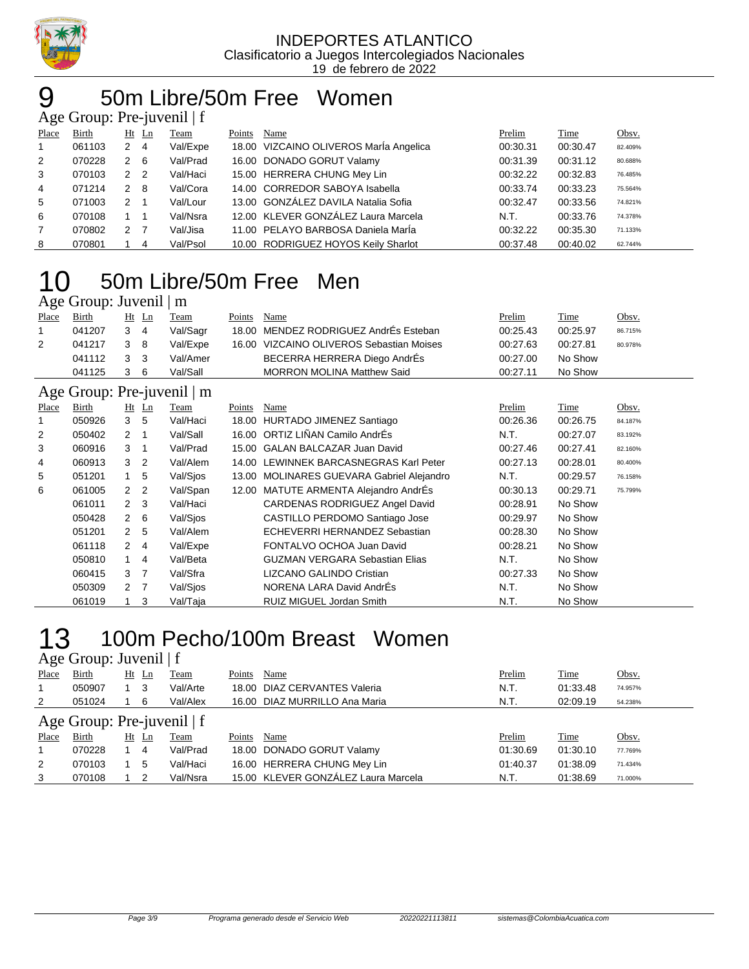

# 50m Libre/50m Free Women

| Age Group: Pre-juvenil $ f $ |        |              |                            |             |        |                                        |          |          |         |  |  |
|------------------------------|--------|--------------|----------------------------|-------------|--------|----------------------------------------|----------|----------|---------|--|--|
| Place                        | Birth  |              | $Ht$ Ln                    | <b>Team</b> | Points | Name                                   | Prelim   | Time     | Obsv.   |  |  |
| $\overline{1}$               | 061103 | $\mathbf{2}$ | - 4                        | Val/Expe    |        | 18.00 VIZCAINO OLIVEROS María Angelica | 00:30.31 | 00:30.47 | 82.409% |  |  |
| 2                            | 070228 | 2 6          |                            | Val/Prad    |        | 16.00 DONADO GORUT Valamy              | 00:31.39 | 00:31.12 | 80.688% |  |  |
| 3                            | 070103 | 2            | $\overline{\phantom{0}}^2$ | Val/Haci    |        | 15.00 HERRERA CHUNG Mey Lin            | 00:32.22 | 00:32.83 | 76.485% |  |  |
| $\overline{4}$               | 071214 | $2 \quad 8$  |                            | Val/Cora    |        | 14.00 CORREDOR SABOYA Isabella         | 00:33.74 | 00:33.23 | 75.564% |  |  |
| 5                            | 071003 | 2            |                            | Val/Lour    |        | 13.00 GONZÁLEZ DAVILA Natalia Sofia    | 00:32.47 | 00:33.56 | 74.821% |  |  |
| 6                            | 070108 | 1 1          |                            | Val/Nsra    |        | 12.00 KLEVER GONZÁLEZ Laura Marcela    | N.T.     | 00:33.76 | 74.378% |  |  |
| $\overline{7}$               | 070802 | 2            | $\overline{7}$             | Val/Jisa    |        | 11.00 PELAYO BARBOSA Daniela Marla     | 00:32.22 | 00:35.30 | 71.133% |  |  |
| 8                            | 070801 |              | 4                          | Val/Psol    |        | 10.00 RODRIGUEZ HOYOS Keily Sharlot    | 00:37.48 | 00:40.02 | 62.744% |  |  |

## 50m Libre/50m Free Men

### Age Group: Juvenil | m

| Place | Birth  |     | Ht Ln | Team     | Points | Name                                     | <u>Prelim</u> | <b>Time</b> | Obsv.   |
|-------|--------|-----|-------|----------|--------|------------------------------------------|---------------|-------------|---------|
|       | 041207 | 3   | 4     | Val/Sagr |        | 18.00 MENDEZ RODRIGUEZ AndrEs Esteban    | 00:25.43      | 00:25.97    | 86.715% |
| 2     | 041217 | 3 8 |       | Val/Expe |        | 16.00 VIZCAINO OLIVEROS Sebastian Moises | 00:27.63      | 00:27.81    | 80.978% |
|       | 041112 | 3 3 |       | Val/Amer |        | BECERRA HERRERA Diego AndrÉs             | 00:27.00      | No Show     |         |
|       | 041125 |     | 6     | Val/Sall |        | <b>MORRON MOLINA Matthew Said</b>        | 00:27.11      | No Show     |         |
|       |        |     |       |          |        |                                          |               |             |         |

### Age Group: Pre-juvenil | m

|       | $1.15$ Oroup. The product $\mu$ |                |                          |          |        |                                           |          |             |         |  |  |
|-------|---------------------------------|----------------|--------------------------|----------|--------|-------------------------------------------|----------|-------------|---------|--|--|
| Place | Birth                           |                | $Ht$ Ln                  | Team     | Points | Name                                      | Prelim   | <b>Time</b> | Obsv.   |  |  |
|       | 050926                          | 3 <sub>5</sub> |                          | Val/Haci |        | 18.00 HURTADO JIMENEZ Santiago            | 00:26.36 | 00:26.75    | 84.187% |  |  |
| 2     | 050402                          | 2              | $\overline{\phantom{1}}$ | Val/Sall |        | 16.00 ORTIZ LIÑAN Camilo AndrÉs           | N.T.     | 00:27.07    | 83.192% |  |  |
| 3     | 060916                          | 3              | $\overline{1}$           | Val/Prad |        | 15.00 GALAN BALCAZAR Juan David           | 00:27.46 | 00:27.41    | 82.160% |  |  |
| 4     | 060913                          | 3              | $\overline{2}$           | Val/Alem |        | 14.00 LEWINNEK BARCASNEGRAS Karl Peter    | 00:27.13 | 00:28.01    | 80.400% |  |  |
| 5     | 051201                          | 1.             | -5                       | Val/Sios |        | 13.00 MOLINARES GUEVARA Gabriel Alejandro | N.T.     | 00:29.57    | 76.158% |  |  |
| 6     | 061005                          | 2 <sub>2</sub> |                          | Val/Span |        | 12.00 MATUTE ARMENTA Alejandro AndrÉs     | 00:30.13 | 00:29.71    | 75.799% |  |  |
|       | 061011                          | $2 \quad 3$    |                          | Val/Haci |        | CARDENAS RODRIGUEZ Angel David            | 00:28.91 | No Show     |         |  |  |
|       | 050428                          | $2 \quad 6$    |                          | Val/Sjos |        | CASTILLO PERDOMO Santiago Jose            | 00:29.97 | No Show     |         |  |  |
|       | 051201                          | 2 <sub>5</sub> |                          | Val/Alem |        | ECHEVERRI HERNANDEZ Sebastian             | 00:28.30 | No Show     |         |  |  |
|       | 061118                          | $\mathbf{2}$   | -4                       | Val/Expe |        | FONTALVO OCHOA Juan David                 | 00:28.21 | No Show     |         |  |  |
|       | 050810                          | 1              | -4                       | Val/Beta |        | <b>GUZMAN VERGARA Sebastian Elias</b>     | N.T.     | No Show     |         |  |  |
|       | 060415                          | 3 <sub>7</sub> |                          | Val/Sfra |        | LIZCANO GALINDO Cristian                  | 00:27.33 | No Show     |         |  |  |
|       | 050309                          | 2 <sub>7</sub> |                          | Val/Sios |        | NORENA LARA David AndrEs                  | N.T.     | No Show     |         |  |  |
|       | 061019                          |                | -3                       | Val/Taja |        | RUIZ MIGUEL Jordan Smith                  | N.T.     | No Show     |         |  |  |

## 13 100m Pecho/100m Breast Women

Age Group: Juvenil | f

| Place                        | <b>Birth</b> |    | $Ht$ Ln | Team     | Points | Name                                | Prelim   | <b>Time</b> | Obsv.   |  |  |  |
|------------------------------|--------------|----|---------|----------|--------|-------------------------------------|----------|-------------|---------|--|--|--|
|                              | 050907       |    | -3      | Val/Arte |        | 18.00 DIAZ CERVANTES Valeria        | N.T.     | 01:33.48    | 74.957% |  |  |  |
| 2                            | 051024       |    | 6       | Val/Alex |        | 16.00 DIAZ MURRILLO Ana Maria       | N.T.     | 02:09.19    | 54.238% |  |  |  |
| Age Group: Pre-juvenil $ f $ |              |    |         |          |        |                                     |          |             |         |  |  |  |
| <b>Place</b>                 | Birth        | Ht | Ln      | Team     | Points | Name                                | Prelim   | Time        | Obsv.   |  |  |  |
|                              | 070228       |    | 4       | Val/Prad |        | 18.00 DONADO GORUT Valamy           | 01:30.69 | 01:30.10    | 77.769% |  |  |  |
| 2                            | 070103       |    | 5       | Val/Haci |        | 16.00 HERRERA CHUNG Mey Lin         | 01:40.37 | 01:38.09    | 71.434% |  |  |  |
| 3                            | 070108       |    | 2       | Val/Nsra |        | 15.00 KLEVER GONZÁLEZ Laura Marcela | N.T.     | 01:38.69    | 71.000% |  |  |  |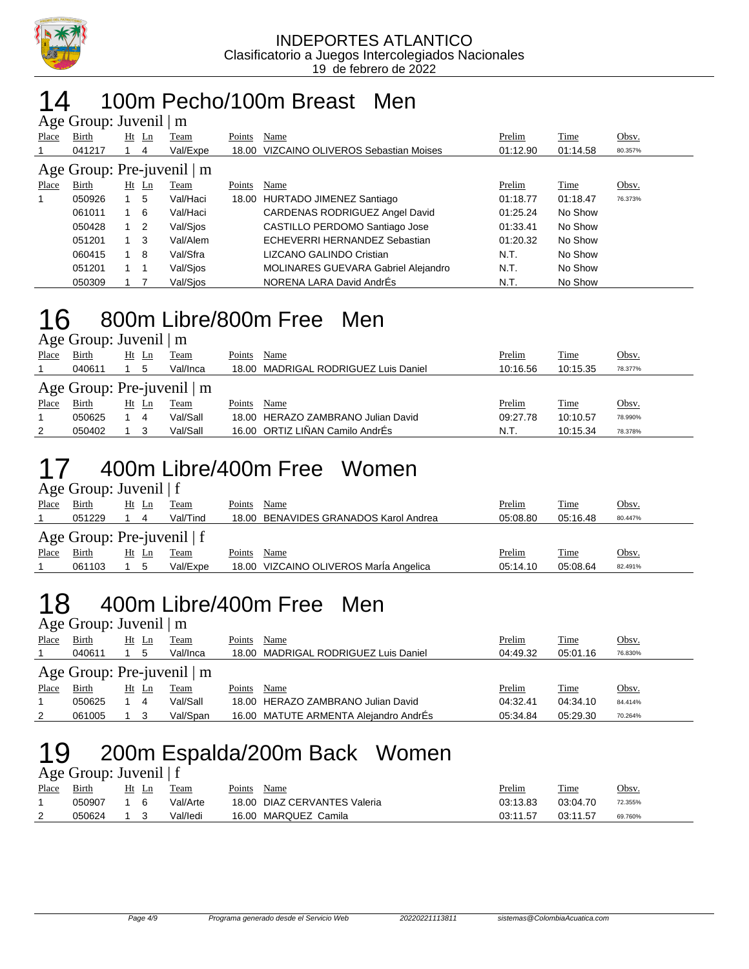

#### 100m Pecho/100m Breast Men  $A$ g Group: Juvenil  $\overline{A}$

|             | $A\&\sigma$ Oroup. Juvenil   III |             |                |          |        |                                          |          |          |         |  |  |  |  |
|-------------|----------------------------------|-------------|----------------|----------|--------|------------------------------------------|----------|----------|---------|--|--|--|--|
| Place       | Birth                            | Ht          | $\mathbf{L}$ n | Team     | Points | Name                                     | Prelim   | Time     | Obsv.   |  |  |  |  |
|             | 041217                           |             | 4              | Val/Expe |        | 18.00 VIZCAINO OLIVEROS Sebastian Moises | 01:12.90 | 01:14.58 | 80.357% |  |  |  |  |
|             | Age Group: Pre-juvenil   m       |             |                |          |        |                                          |          |          |         |  |  |  |  |
| Place       | Birth                            | Ht          | Ln             | Team     | Points | Name                                     | Prelim   | Time     | Obsv.   |  |  |  |  |
| $\mathbf 1$ | 050926                           |             | 5              | Val/Haci |        | 18.00 HURTADO JIMENEZ Santiago           | 01:18.77 | 01:18.47 | 76.373% |  |  |  |  |
|             | 061011                           |             | 6              | Val/Haci |        | CARDENAS RODRIGUEZ Angel David           | 01:25.24 | No Show  |         |  |  |  |  |
|             | 050428                           | $1\quad 2$  |                | Val/Sios |        | CASTILLO PERDOMO Santiago Jose           | 01:33.41 | No Show  |         |  |  |  |  |
|             | 051201                           | $1 \quad 3$ |                | Val/Alem |        | ECHEVERRI HERNANDEZ Sebastian            | 01:20.32 | No Show  |         |  |  |  |  |
|             | 060415                           |             | 8              | Val/Sfra |        | LIZCANO GALINDO Cristian                 | N.T.     | No Show  |         |  |  |  |  |
|             | 051201                           |             |                | Val/Sios |        | MOLINARES GUEVARA Gabriel Alejandro      | N.T.     | No Show  |         |  |  |  |  |
|             | 050309                           |             |                | Val/Sios |        | NORENA LARA David AndrEs                 | N.T.     | No Show  |         |  |  |  |  |

### 16 800m Libre/800m Free Men Age Group: Juvenil | m

| Place | Birth                           | Ht Ln |   | Team     | Points | Name                                 | Prelim   | Time     | Obsv.        |
|-------|---------------------------------|-------|---|----------|--------|--------------------------------------|----------|----------|--------------|
|       | 040611                          |       |   | Val/Inca |        | 18.00 MADRIGAL RODRIGUEZ Luis Daniel | 10:16.56 | 10:15.35 | 78.377%      |
|       | Age Group: Pre-juvenil $\mid$ m |       |   |          |        |                                      |          |          |              |
| Place | Birth                           | Ht Ln |   | Team     | Points | Name                                 | Prelim   | Time     | <u>Obsv.</u> |
|       | 050625                          |       | 4 | Val/Sall |        | 18.00 HERAZO ZAMBRANO Julian David   | 09:27.78 | 10:10.57 | 78.990%      |
| 2     | 050402                          |       |   | Val/Sall |        | 16.00 ORTIZ LIÑAN Camilo AndrÉs      | N.T.     | 10:15.34 | 78.378%      |

### 17 400m Libre/400m Free Women

Age Group: Juvenil | f

| Place                        | Birth  | Ht Ln |  | Team     | Points | Name                                   | Prelim   | <b>Time</b> | Obsv.        |  |  |
|------------------------------|--------|-------|--|----------|--------|----------------------------------------|----------|-------------|--------------|--|--|
|                              | 051229 |       |  | Val/Tind |        | 18.00 BENAVIDES GRANADOS Karol Andrea  | 05:08.80 | 05:16.48    | 80.447%      |  |  |
| Age Group: Pre-juvenil $ f $ |        |       |  |          |        |                                        |          |             |              |  |  |
| Place                        | Birth  | Ht Ln |  | Team     | Points | Name                                   | Prelim   | Time        | <u>Obsv.</u> |  |  |
|                              | 061103 | 5     |  | Val/Expe |        | 18.00 VIZCAINO OLIVEROS MarÍa Angelica | 05:14.10 | 05:08.64    | 82.491%      |  |  |

### 18 400m Libre/400m Free Men Age Group: Juvenil | m

|                                 | $1.50$ $\sigma$ $\mu$ , $\sigma$ $\sigma$ , $\sigma$ $\mu$ , $\mu$ |  |       |          |        |                                       |          |          |         |  |  |  |
|---------------------------------|--------------------------------------------------------------------|--|-------|----------|--------|---------------------------------------|----------|----------|---------|--|--|--|
| Place                           | Birth                                                              |  | Ht Ln | Team     | Points | Name                                  | Prelim   | Time     | Obsv.   |  |  |  |
|                                 | 040611                                                             |  | 5     | Val/Inca |        | 18.00 MADRIGAL RODRIGUEZ Luis Daniel  | 04:49.32 | 05:01.16 | 76.830% |  |  |  |
| Age Group: Pre-juvenil $\mid$ m |                                                                    |  |       |          |        |                                       |          |          |         |  |  |  |
| Place                           | Birth                                                              |  | Ht Ln | Team     | Points | Name                                  | Prelim   | Time     | Obsv.   |  |  |  |
|                                 | 050625                                                             |  | 4     | Val/Sall |        | 18.00 HERAZO ZAMBRANO Julian David    | 04:32.41 | 04:34.10 | 84.414% |  |  |  |
|                                 | 061005                                                             |  |       | Val/Span |        | 16.00 MATUTE ARMENTA Alejandro AndrÉs | 05:34.84 | 05:29.30 | 70.264% |  |  |  |

# 19 200m Espalda/200m Back Women

### Age Group: Juvenil | f

| Place    | Birth  | Ht<br>-Ln | Team     | Points | Name                         | Prelim   | Time     | Obsv.   |
|----------|--------|-----------|----------|--------|------------------------------|----------|----------|---------|
|          | 050907 |           | Val/Arte |        | 18.00 DIAZ CERVANTES Valeria | 03:13.83 | 03:04.70 | 72.355% |
| <u>_</u> | 050624 |           | Val/ledi |        | 16.00 MARQUEZ Camila         | 03:11.57 | 03:11.57 | 69.760% |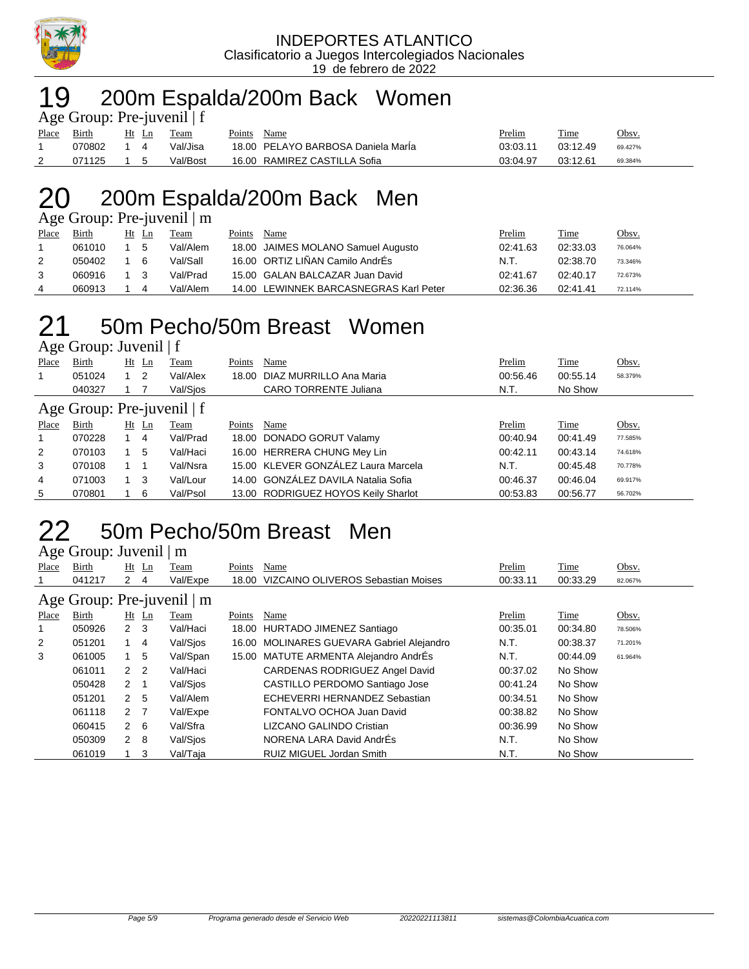

#### INDEPORTES ATLANTICO Clasificatorio a Juegos Intercolegiados Nacionales 19 de febrero de 2022

### 19 200m Espalda/200m Back Women

| Age Group: Pre-juvenil $ f $ |        |           |       |          |        |                                    |          |          |         |  |  |  |
|------------------------------|--------|-----------|-------|----------|--------|------------------------------------|----------|----------|---------|--|--|--|
| <b>Place</b>                 | Birth  |           | Ht Ln | Team     | Points | Name                               | Prelim   | Time     | Obsv.   |  |  |  |
|                              | 070802 | 14        |       | Val/Jisa |        | 18.00 PELAYO BARBOSA Daniela Marla | 03:03.11 | 03:12.49 | 69.427% |  |  |  |
|                              | 071125 | $1\quad5$ |       | Val/Bost |        | 16.00 RAMIREZ CASTILLA Sofia       | 03:04.97 | 03:12.61 | 69.384% |  |  |  |

## 20 200m Espalda/200m Back Men

Age Group: Pre-juvenil | m

| Place | <b>Birth</b> | Ht | <u>Ln</u> | Team     | Points | Name                                   | Prelim   | <b>Time</b> | <u>Obsv.</u> |
|-------|--------------|----|-----------|----------|--------|----------------------------------------|----------|-------------|--------------|
|       | 061010       |    | -5        | Val/Alem |        | 18.00 JAIMES MOLANO Samuel Augusto     | 02:41.63 | 02:33.03    | 76.064%      |
|       | 050402       |    | - 6       | Val/Sall |        | 16.00 ORTIZ LIÑAN Camilo AndrÉs        | N.T.     | 02:38.70    | 73.346%      |
|       | 060916       |    | - 3       | Val/Prad |        | 15.00 GALAN BALCAZAR Juan David        | 02:41.67 | 02:40.17    | 72.673%      |
|       | 060913       |    |           | Val/Alem |        | 14.00 LEWINNEK BARCASNEGRAS Karl Peter | 02:36.36 | 02:41.41    | 72.114%      |

### 21 50m Pecho/50m Breast Women Age Group: Juvenil | f

Place Birth Ht Ln Team Points Name **Prelim** Time Obsv. 1 051024 1 2 Val/Alex 18.00 DIAZ MURRILLO Ana Maria 00:56.46 00:55.14 58.379% 040327 1 7 Val/Sjos CARO TORRENTE Juliana N.T. No Show Age Group: Pre-juvenil | f<br>Place Birth Ht Ln Team Place Birth Ht Ln Team Points Name Prelim Time Obsv.

|   | 070228 | 4   | Val/Prad | 18.00 DONADO GORUT Valamy           | 00:40.94 | 00:41.49 | 77.585% |
|---|--------|-----|----------|-------------------------------------|----------|----------|---------|
| 2 | 070103 | - 5 | Val/Haci | 16.00 HERRERA CHUNG Mey Lin         | 00:42.11 | 00:43.14 | 74.618% |
|   | 070108 |     | Val/Nsra | 15.00 KLEVER GONZÁLEZ Laura Marcela | N.T.     | 00:45.48 | 70.778% |
| 4 | 071003 |     | Val/Lour | 14.00 GONZÁLEZ DAVILA Natalia Sofia | 00:46.37 | 00:46.04 | 69.917% |
| 5 | 070801 | 6   | Val/Psol | 13.00 RODRIGUEZ HOYOS Keily Sharlot | 00:53.83 | 00:56.77 | 56.702% |

### 50m Pecho/50m Breast Men Age Group: Juvenil | m

|       | $1.45$ $\sigma$ $1.04$ $\mu$ $\sigma$ $\sigma$ $\sigma$ $\sigma$ $\sigma$ $\sigma$ |                |         |          |        |                                           |          |          |         |
|-------|------------------------------------------------------------------------------------|----------------|---------|----------|--------|-------------------------------------------|----------|----------|---------|
| Place | Birth                                                                              |                | $Ht$ Ln | Team     | Points | Name                                      | Prelim   | Time     | Obsv.   |
|       | 041217                                                                             | 2              | 4       | Val/Expe |        | 18.00 VIZCAINO OLIVEROS Sebastian Moises  | 00:33.11 | 00:33.29 | 82.067% |
|       | Age Group: Pre-juvenil   m                                                         |                |         |          |        |                                           |          |          |         |
| Place | Birth                                                                              |                | $Ht$ Ln | Team     | Points | Name                                      | Prelim   | Time     | Obsv.   |
|       | 050926                                                                             | $2 \quad 3$    |         | Val/Haci |        | 18.00 HURTADO JIMENEZ Santiago            | 00:35.01 | 00:34.80 | 78.506% |
| 2     | 051201                                                                             |                | -4      | Val/Sios |        | 16.00 MOLINARES GUEVARA Gabriel Alejandro | N.T.     | 00:38.37 | 71.201% |
| 3     | 061005                                                                             |                | -5      | Val/Span |        | 15.00 MATUTE ARMENTA Alejandro AndrÉs     | N.T.     | 00:44.09 | 61.964% |
|       | 061011                                                                             | 2 <sub>2</sub> |         | Val/Haci |        | CARDENAS RODRIGUEZ Angel David            | 00:37.02 | No Show  |         |
|       | 050428                                                                             | $2 \quad 1$    |         | Val/Sios |        | CASTILLO PERDOMO Santiago Jose            | 00:41.24 | No Show  |         |
|       | 051201                                                                             | 2 <sub>5</sub> |         | Val/Alem |        | ECHEVERRI HERNANDEZ Sebastian             | 00:34.51 | No Show  |         |
|       | 061118                                                                             | 2 <sub>7</sub> |         | Val/Expe |        | FONTALVO OCHOA Juan David                 | 00:38.82 | No Show  |         |
|       | 060415                                                                             | $2 \quad 6$    |         | Val/Sfra |        | LIZCANO GALINDO Cristian                  | 00:36.99 | No Show  |         |
|       | 050309                                                                             | $2 \quad 8$    |         | Val/Sios |        | NORENA LARA David AndrÉs                  | N.T.     | No Show  |         |
|       | 061019                                                                             |                | 3       | Val/Taja |        | RUIZ MIGUEL Jordan Smith                  | N.T.     | No Show  |         |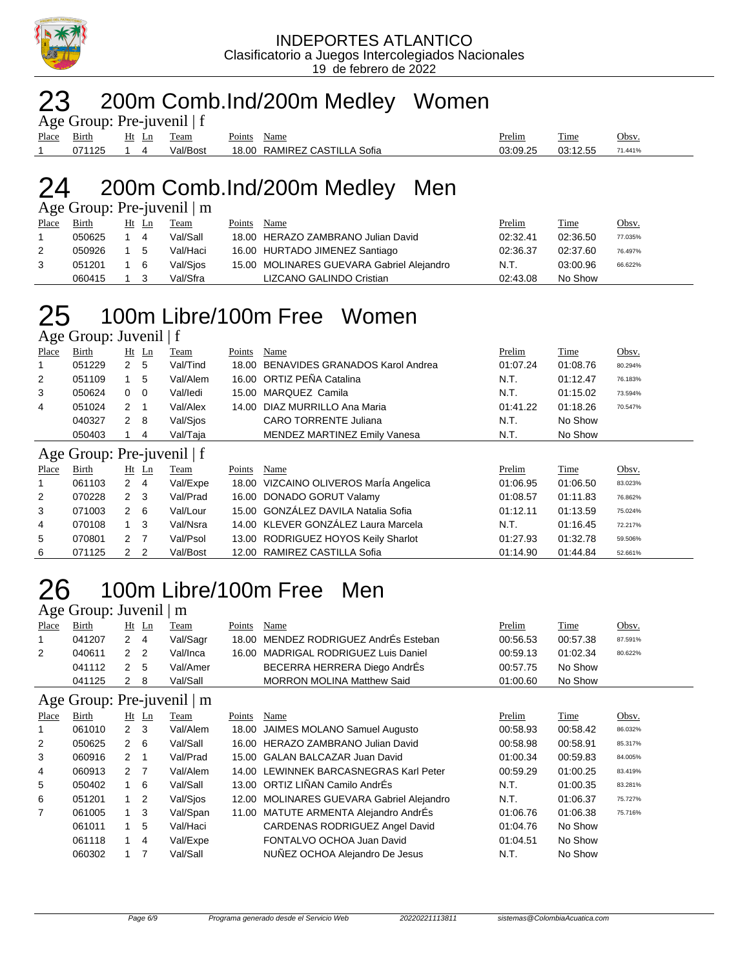

### 200m Comb.Ind/200m Medley Women

| Age Group: Pre-juvenil $ f $ |        |  |       |          |        |                              |          |          |         |  |  |
|------------------------------|--------|--|-------|----------|--------|------------------------------|----------|----------|---------|--|--|
| Place Birth                  |        |  | Ht Ln | Team     | Points | Name                         | Prelim   | Time     | Obsv.   |  |  |
|                              | 071125 |  |       | Val/Bost |        | 18.00 RAMIREZ CASTILLA Sofia | 03:09.25 | 03:12.55 | 71.441% |  |  |

### 200m Comb.Ind/200m Medley Men

Age Group: Pre-juvenil | m

| Place | Birth  | Ht Ln | Team     | Points | Name                                      | Prelim   | Time     | <u>Obsv.</u> |
|-------|--------|-------|----------|--------|-------------------------------------------|----------|----------|--------------|
|       | 050625 | 4     | Val/Sall |        | 18.00 HERAZO ZAMBRANO Julian David        | 02:32.41 | 02:36.50 | 77.035%      |
|       | 050926 | -5    | Val/Haci |        | 16.00 HURTADO JIMENEZ Santiago            | 02:36.37 | 02:37.60 | 76.497%      |
|       | 051201 | - 6   | Val/Sios |        | 15.00 MOLINARES GUEVARA Gabriel Alejandro | N.T.     | 03:00.96 | 66.622%      |
|       | 060415 |       | Val/Sfra |        | LIZCANO GALINDO Cristian                  | 02:43.08 | No Show  |              |

# 100m Libre/100m Free Women

Age Group: Juvenil | f

| Place          | <b>Birth</b>               |              | $Ht$ Ln | Team     | Points | Name                                   | Prelim   | Time        | Obsv.   |
|----------------|----------------------------|--------------|---------|----------|--------|----------------------------------------|----------|-------------|---------|
| 1              | 051229                     | $\mathbf{2}$ | 5       | Val/Tind |        | 18.00 BENAVIDES GRANADOS Karol Andrea  | 01:07.24 | 01:08.76    | 80.294% |
| 2              | 051109                     |              | 5       | Val/Alem |        | 16.00 ORTIZ PEÑA Catalina              | N.T.     | 01:12.47    | 76.183% |
| 3              | 050624                     | $0\quad 0$   |         | Val/ledi |        | 15.00 MARQUEZ Camila                   | N.T.     | 01:15.02    | 73.594% |
| 4              | 051024                     | 2            | - 1     | Val/Alex |        | 14.00 DIAZ MURRILLO Ana Maria          | 01:41.22 | 01:18.26    | 70.547% |
|                | 040327                     | $2 \quad 8$  |         | Val/Sios |        | CARO TORRENTE Juliana                  | N.T.     | No Show     |         |
|                | 050403                     |              | 4       | Val/Taja |        | <b>MENDEZ MARTINEZ Emily Vanesa</b>    | N.T.     | No Show     |         |
|                | Age Group: Pre-juvenil   f |              |         |          |        |                                        |          |             |         |
| Place          | <b>Birth</b>               |              | $Ht$ Ln | Team     | Points | Name                                   | Prelim   | <b>Time</b> | Obsv.   |
| 1              | 061103                     | $2 \quad 4$  |         | Val/Expe |        | 18.00 VIZCAINO OLIVEROS MarÍa Angelica | 01:06.95 | 01:06.50    | 83.023% |
| $\overline{2}$ | 070228                     | $2 \quad 3$  |         | Val/Prad |        | 16.00 DONADO GORUT Valamy              | 01:08.57 | 01:11.83    | 76.862% |
| 3              | 071003                     | 2            | - 6     | Val/Lour |        | 15.00 GONZÁLEZ DAVILA Natalia Sofia    | 01:12.11 | 01:13.59    | 75.024% |
| 4              | 070108                     |              | - 3     | Val/Nsra |        | 14.00 KLEVER GONZÁLEZ Laura Marcela    | N.T.     | 01:16.45    | 72.217% |

 070801 2 7 Val/Psol 13.00 RODRIGUEZ HOYOS Keily Sharlot 01:27.93 01:32.78 59.506% 071125 2 2 Val/Bost 12.00 RAMIREZ CASTILLA Sofia 01:14.90 01:44.84 52.661%

## 100m Libre/100m Free Men

|       | Age Group: Juvenil $\mid$ m |       |    |             |        |                                       |               |          |         |
|-------|-----------------------------|-------|----|-------------|--------|---------------------------------------|---------------|----------|---------|
| Place | <b>Birth</b>                | Ht Ln |    | <b>Team</b> | Points | Name                                  | <b>Prelim</b> | Time     | Obsv.   |
|       | 041207                      | 2 4   |    | Val/Sagr    |        | 18.00 MENDEZ RODRIGUEZ AndrÉs Esteban | 00:56.53      | 00:57.38 | 87.591% |
| 2     | 040611                      | 2 2   |    | Val/Inca    |        | 16.00 MADRIGAL RODRIGUEZ Luis Daniel  | 00:59.13      | 01:02.34 | 80.622% |
|       | 041112                      | 2 5   |    | Val/Amer    |        | BECERRA HERRERA Diego AndrÉs          | 00:57.75      | No Show  |         |
|       | 041125                      |       | -8 | Val/Sall    |        | <b>MORRON MOLINA Matthew Said</b>     | 01:00.60      | No Show  |         |
|       |                             |       |    |             |        |                                       |               |          |         |

### Age Group: Pre-juvenil | m

| ے              |        |             | J              |             |        |                                           |          |          |         |
|----------------|--------|-------------|----------------|-------------|--------|-------------------------------------------|----------|----------|---------|
| Place          | Birth  |             | $Ht$ Ln        | <b>Team</b> | Points | Name                                      | Prelim   | Time     | Obsv.   |
| $\mathbf{1}$   | 061010 | $2 \quad 3$ |                | Val/Alem    |        | 18.00 JAIMES MOLANO Samuel Augusto        | 00:58.93 | 00:58.42 | 86.032% |
| 2              | 050625 | 2           | - 6            | Val/Sall    |        | 16.00 HERAZO ZAMBRANO Julian David        | 00:58.98 | 00:58.91 | 85.317% |
| 3              | 060916 | 2           |                | Val/Prad    |        | 15.00 GALAN BALCAZAR Juan David           | 01:00.34 | 00:59.83 | 84.005% |
| 4              | 060913 | 2           | $\overline{7}$ | Val/Alem    |        | 14.00 LEWINNEK BARCASNEGRAS Karl Peter    | 00:59.29 | 01:00.25 | 83.419% |
| 5              | 050402 |             | -6             | Val/Sall    |        | 13.00 ORTIZ LIÑAN Camilo AndrÉs           | N.T.     | 01:00.35 | 83.281% |
| 6              | 051201 | $1\quad 2$  |                | Val/Sjos    |        | 12.00 MOLINARES GUEVARA Gabriel Alejandro | N.T.     | 01:06.37 | 75.727% |
| $\overline{7}$ | 061005 | 1 3         |                | Val/Span    |        | 11.00 MATUTE ARMENTA Alejandro AndrÉs     | 01:06.76 | 01:06.38 | 75.716% |
|                | 061011 |             | 5              | Val/Haci    |        | CARDENAS RODRIGUEZ Angel David            | 01:04.76 | No Show  |         |
|                | 061118 |             | $\overline{4}$ | Val/Expe    |        | FONTALVO OCHOA Juan David                 | 01:04.51 | No Show  |         |
|                | 060302 |             |                | Val/Sall    |        | NUÑEZ OCHOA Alejandro De Jesus            | N.T.     | No Show  |         |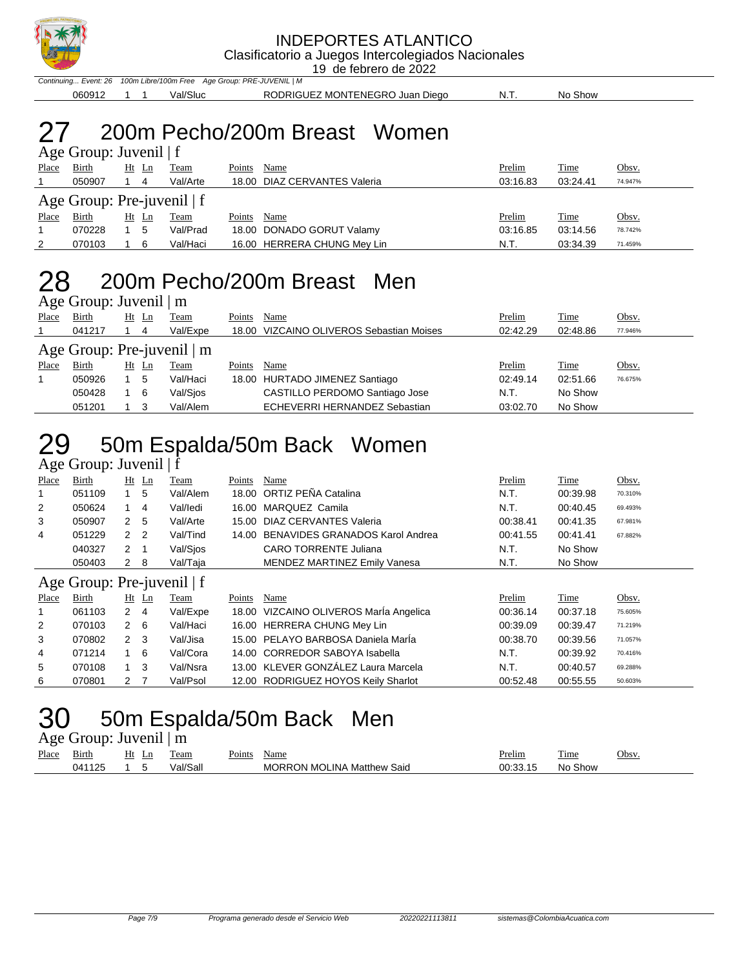

19 de febrero de 2022

Continuing... Event: 26 100m Libre/100m Free Age Group: PRE-JUVENIL | M

060912 1 1 Val/Sluc RODRIGUEZ MONTENEGRO Juan Diego N.T. No Show

## 27 200m Pecho/200m Breast Women

|                              | Age Group: Juvenil $ f $ |  |       |             |        |                              |          |          |         |  |  |  |
|------------------------------|--------------------------|--|-------|-------------|--------|------------------------------|----------|----------|---------|--|--|--|
| Place                        | <b>Birth</b>             |  | Ht Ln | <b>Team</b> | Points | Name                         | Prelim   | Time     | Obsv.   |  |  |  |
|                              | 050907                   |  | 4     | Val/Arte    |        | 18.00 DIAZ CERVANTES Valeria | 03:16.83 | 03:24.41 | 74.947% |  |  |  |
| Age Group: Pre-juvenil $ f $ |                          |  |       |             |        |                              |          |          |         |  |  |  |
| Place                        | Birth                    |  | Ht Ln | Team        | Points | Name                         | Prelim   | Time     | Obsv.   |  |  |  |
|                              | 070228                   |  | 5     | Val/Prad    |        | 18.00 DONADO GORUT Valamy    | 03:16.85 | 03:14.56 | 78.742% |  |  |  |
| 2                            | 070103                   |  | 6     | Val/Haci    |        | 16.00 HERRERA CHUNG Mey Lin  | N.T.     | 03:34.39 | 71.459% |  |  |  |

### 28 200m Pecho/200m Breast Men Age Group: Juvenil | m

| Place                                                                                                                                                                                                                                                                                                                                                                                                                                                                          | Birth  |  |   | <b>Team</b> | Points | Name | Prelim   | <u>Time</u> | Obsv.   |  |  |
|--------------------------------------------------------------------------------------------------------------------------------------------------------------------------------------------------------------------------------------------------------------------------------------------------------------------------------------------------------------------------------------------------------------------------------------------------------------------------------|--------|--|---|-------------|--------|------|----------|-------------|---------|--|--|
|                                                                                                                                                                                                                                                                                                                                                                                                                                                                                | 041217 |  | 4 | Val/Expe    |        |      | 02:42.29 | 02:48.86    | 77.946% |  |  |
| $1.5$ Oroup. $50.7$ CHH $\pm$ HH<br>Ht Ln<br>18.00 VIZCAINO OLIVEROS Sebastian Moises<br>Age Group: Pre-juvenil $\mid$ m<br>Place<br>Birth<br>Ht Ln<br>Points<br>Name<br>Prelim<br>Time<br>Obsv.<br>Team<br>Val/Haci<br>18.00 HURTADO JIMENEZ Santiago<br>02:49.14<br>02:51.66<br>050926<br>5<br>76.675%<br>CASTILLO PERDOMO Santiago Jose<br>No Show<br>Val/Sios<br>N.T.<br>050428<br>- 6<br>ECHEVERRI HERNANDEZ Sebastian<br>Val/Alem<br>No Show<br>051201<br>03:02.70<br>-3 |        |  |   |             |        |      |          |             |         |  |  |
|                                                                                                                                                                                                                                                                                                                                                                                                                                                                                |        |  |   |             |        |      |          |             |         |  |  |
|                                                                                                                                                                                                                                                                                                                                                                                                                                                                                |        |  |   |             |        |      |          |             |         |  |  |
|                                                                                                                                                                                                                                                                                                                                                                                                                                                                                |        |  |   |             |        |      |          |             |         |  |  |
|                                                                                                                                                                                                                                                                                                                                                                                                                                                                                |        |  |   |             |        |      |          |             |         |  |  |

# 29 50m Espalda/50m Back Women

#### Age Group: Juvenil | f

| Place                                                                                                                                                                                                                                                                                                                                                                                                                                                                                                                                                                                                                                                                                                                                                                                                                                                                                                                               | Birth  |                      |    | Team     | Points | Name                            | Prelim   | Time     | Obsv.   |
|-------------------------------------------------------------------------------------------------------------------------------------------------------------------------------------------------------------------------------------------------------------------------------------------------------------------------------------------------------------------------------------------------------------------------------------------------------------------------------------------------------------------------------------------------------------------------------------------------------------------------------------------------------------------------------------------------------------------------------------------------------------------------------------------------------------------------------------------------------------------------------------------------------------------------------------|--------|----------------------|----|----------|--------|---------------------------------|----------|----------|---------|
| 1                                                                                                                                                                                                                                                                                                                                                                                                                                                                                                                                                                                                                                                                                                                                                                                                                                                                                                                                   | 051109 |                      | -5 | Val/Alem |        |                                 | N.T.     | 00:39.98 | 70.310% |
| 2                                                                                                                                                                                                                                                                                                                                                                                                                                                                                                                                                                                                                                                                                                                                                                                                                                                                                                                                   | 050624 |                      | 4  | Val/ledi |        | MARQUEZ Camila                  | N.T.     | 00:40.45 | 69.493% |
| 3                                                                                                                                                                                                                                                                                                                                                                                                                                                                                                                                                                                                                                                                                                                                                                                                                                                                                                                                   | 050907 |                      | -5 | Val/Arte |        | DIAZ CERVANTES Valeria          | 00:38.41 | 00:41.35 | 67.981% |
| 4                                                                                                                                                                                                                                                                                                                                                                                                                                                                                                                                                                                                                                                                                                                                                                                                                                                                                                                                   | 051229 | 2                    |    | Val/Tind |        | BENAVIDES GRANADOS Karol Andrea | 00:41.55 | 00:41.41 | 67.882% |
|                                                                                                                                                                                                                                                                                                                                                                                                                                                                                                                                                                                                                                                                                                                                                                                                                                                                                                                                     | 040327 | $\mathbf{2}^{\circ}$ |    | Val/Sios |        | <b>CARO TORRENTE Juliana</b>    | N.T.     | No Show  |         |
|                                                                                                                                                                                                                                                                                                                                                                                                                                                                                                                                                                                                                                                                                                                                                                                                                                                                                                                                     | 050403 |                      | -8 | Val/Taja |        | MENDEZ MARTINEZ Emily Vanesa    | N.T.     | No Show  |         |
| $Ht$ Ln<br>18.00 ORTIZ PEÑA Catalina<br>16.00<br>2<br>15.00<br>$\overline{2}$<br>14.00<br>- 1<br>2<br>Age Group: Pre-juvenil $ f $<br>Obsv.<br>$Ht$ Ln<br>Points<br>Place<br>Birth<br>Name<br>Prelim<br>Time<br>Team<br>18.00 VIZCAINO OLIVEROS María Angelica<br>061103<br>Val/Expe<br>$\mathbf{2}$<br>00:36.14<br>00:37.18<br>1<br>-4<br>75.605%<br>16.00 HERRERA CHUNG Mey Lin<br>2<br>Val/Haci<br>070103<br>$2 \quad 6$<br>00:39.09<br>00:39.47<br>71.219%<br>15.00 PELAYO BARBOSA Daniela MarÍa<br>3<br>2 <sub>3</sub><br>Val/Jisa<br>070802<br>00:38.70<br>00:39.56<br>71.057%<br>Val/Cora<br>$1\quad 6$<br>14.00 CORREDOR SABOYA Isabella<br>00:39.92<br>071214<br>N.T.<br>4<br>70.416%<br>13.00 KLEVER GONZÁLEZ Laura Marcela<br>5<br>-3<br>Val/Nsra<br>N.T.<br>00:40.57<br>070108<br>$1 \quad$<br>69.288%<br>Val/Psol<br>12.00 RODRIGUEZ HOYOS Keily Sharlot<br>6<br>070801<br>- 7<br>00:52.48<br>00:55.55<br>2<br>50.603% |        |                      |    |          |        |                                 |          |          |         |
|                                                                                                                                                                                                                                                                                                                                                                                                                                                                                                                                                                                                                                                                                                                                                                                                                                                                                                                                     |        |                      |    |          |        |                                 |          |          |         |
|                                                                                                                                                                                                                                                                                                                                                                                                                                                                                                                                                                                                                                                                                                                                                                                                                                                                                                                                     |        |                      |    |          |        |                                 |          |          |         |
|                                                                                                                                                                                                                                                                                                                                                                                                                                                                                                                                                                                                                                                                                                                                                                                                                                                                                                                                     |        |                      |    |          |        |                                 |          |          |         |
|                                                                                                                                                                                                                                                                                                                                                                                                                                                                                                                                                                                                                                                                                                                                                                                                                                                                                                                                     |        |                      |    |          |        |                                 |          |          |         |
|                                                                                                                                                                                                                                                                                                                                                                                                                                                                                                                                                                                                                                                                                                                                                                                                                                                                                                                                     |        |                      |    |          |        |                                 |          |          |         |
|                                                                                                                                                                                                                                                                                                                                                                                                                                                                                                                                                                                                                                                                                                                                                                                                                                                                                                                                     |        |                      |    |          |        |                                 |          |          |         |
|                                                                                                                                                                                                                                                                                                                                                                                                                                                                                                                                                                                                                                                                                                                                                                                                                                                                                                                                     |        |                      |    |          |        |                                 |          |          |         |

## 30 50m Espalda/50m Back Men

#### Age Group: Juvenil | m

| Place | ÷.<br>31rth | Ht<br>Ln | eam      | $\sim$<br>Points | Name                              | Prelim | m.<br>l'ime          | Obsv. |
|-------|-------------|----------|----------|------------------|-----------------------------------|--------|----------------------|-------|
|       | 041125      |          | √al/Sall |                  | <b>MORRON MOLINA Matthew Said</b> | $\sim$ | Show<br>- Nic<br>. . |       |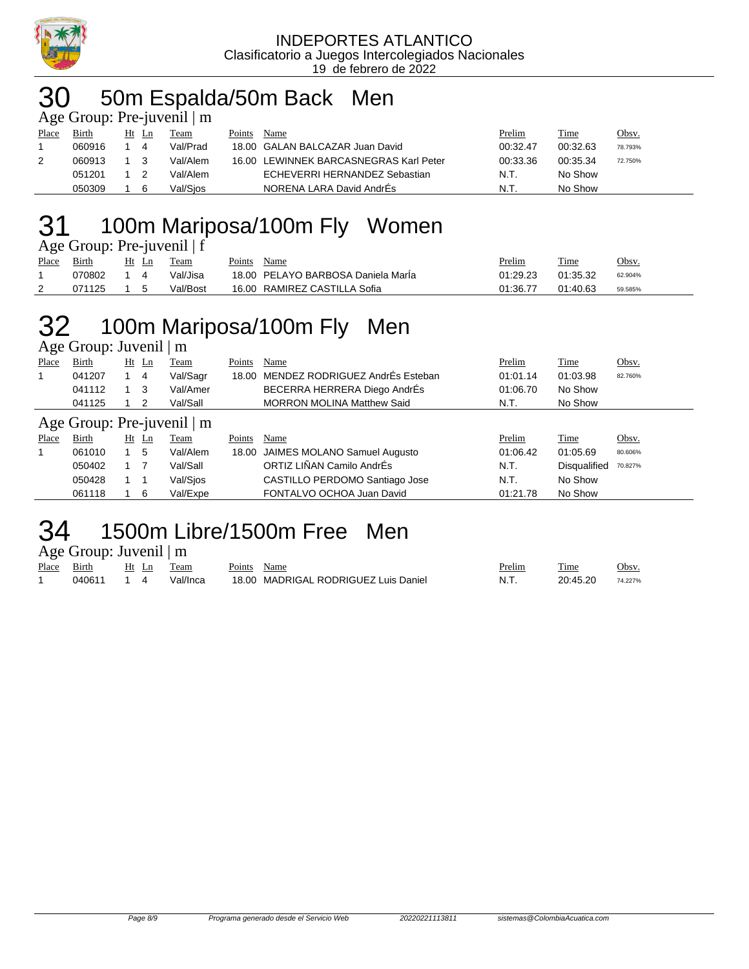

#### INDEPORTES ATLANTICO Clasificatorio a Juegos Intercolegiados Nacionales 19 de febrero de 2022

## 30 50m Espalda/50m Back Men

|       | Age Group: Pre-juvenil $\mid$ m |    |    |          |        |                                        |          |          |              |
|-------|---------------------------------|----|----|----------|--------|----------------------------------------|----------|----------|--------------|
| Place | Birth                           | Ht | Ln | Team     | Points | Name                                   | Prelim   | Time     | <u>Obsv.</u> |
|       | 060916                          |    | 4  | Val/Prad |        | 18.00 GALAN BALCAZAR Juan David        | 00:32.47 | 00:32.63 | 78.793%      |
| 2     | 060913                          |    |    | Val/Alem |        | 16.00 LEWINNEK BARCASNEGRAS Karl Peter | 00:33.36 | 00:35.34 | 72.750%      |
|       | 051201                          |    |    | Val/Alem |        | ECHEVERRI HERNANDEZ Sebastian          | N.T.     | No Show  |              |
|       | 050309                          |    | 6  | Val/Sios |        | NORENA LARA David AndrÉs               | N.T.     | No Show  |              |

## 31 100m Mariposa/100m Fly Women

|              | Age Group: Pre-juvenil   f            |    |
|--------------|---------------------------------------|----|
| $Dl$ $Dirth$ | $H_{\rm f}$ $I_{\rm g}$ $T_{\rm dom}$ | Do |

| Place | Birth  | Ht | Team     | Points | Name                               | Prelim   | Time     | Obsv.   |
|-------|--------|----|----------|--------|------------------------------------|----------|----------|---------|
|       | 070802 |    | Val/Jisa |        | 18.00 PELAYO BARBOSA Daniela Maria | 01:29.23 | 01:35.32 | 62.904% |
|       | 071125 |    | Val/Bost | 16.00  | RAMIREZ CASTILLA Sofia             | 01:36.77 | 01:40.63 | 59.585% |

# 32 100m Mariposa/100m Fly Men

| Age Group: Juvenil   m |  |
|------------------------|--|
|------------------------|--|

| Place                           | <b>Birth</b> |  | $Ht$ Ln | Team     | Points | Name                                  | Prelim   | Time                | Obsv.   |  |  |
|---------------------------------|--------------|--|---------|----------|--------|---------------------------------------|----------|---------------------|---------|--|--|
| 1                               | 041207       |  | -4      | Val/Sagr |        | 18.00 MENDEZ RODRIGUEZ AndrEs Esteban | 01:01.14 | 01:03.98            | 82.760% |  |  |
|                                 | 041112       |  | - 3     | Val/Amer |        | BECERRA HERRERA Diego AndrÉs          | 01:06.70 | No Show             |         |  |  |
|                                 | 041125       |  | 2       | Val/Sall |        | <b>MORRON MOLINA Matthew Said</b>     | N.T.     | No Show             |         |  |  |
| Age Group: Pre-juvenil $\mid$ m |              |  |         |          |        |                                       |          |                     |         |  |  |
| Place                           | Birth        |  | $Ht$ Ln | Team     | Points | Name                                  | Prelim   | <b>Time</b>         | Obsv.   |  |  |
| 1                               | 061010       |  | 5       | Val/Alem |        | 18.00 JAIMES MOLANO Samuel Augusto    | 01:06.42 | 01:05.69            | 80.606% |  |  |
|                                 | 050402       |  |         | Val/Sall |        | ORTIZ LIÑAN Camilo AndrÉs             | N.T.     | <b>Disqualified</b> | 70.827% |  |  |
|                                 | 050428       |  |         | Val/Sios |        | CASTILLO PERDOMO Santiago Jose        | N.T.     | No Show             |         |  |  |
|                                 | 061118       |  | - 6     | Val/Expe |        | FONTALVO OCHOA Juan David             | 01:21.78 | No Show             |         |  |  |

## 34 1500m Libre/1500m Free Men

Age Group: Juvenil | m

| Place | __<br>Birth | Ht | eam      | boints. | Name                                 | <sup>o</sup> relim | m.<br>. ime | Obsv.   |
|-------|-------------|----|----------|---------|--------------------------------------|--------------------|-------------|---------|
|       | 040611      |    | Val/Inca |         | 18.00 MADRIGAL RODRIGUEZ Luis Daniel | -N. L              | 20.45.20    | 74.227% |